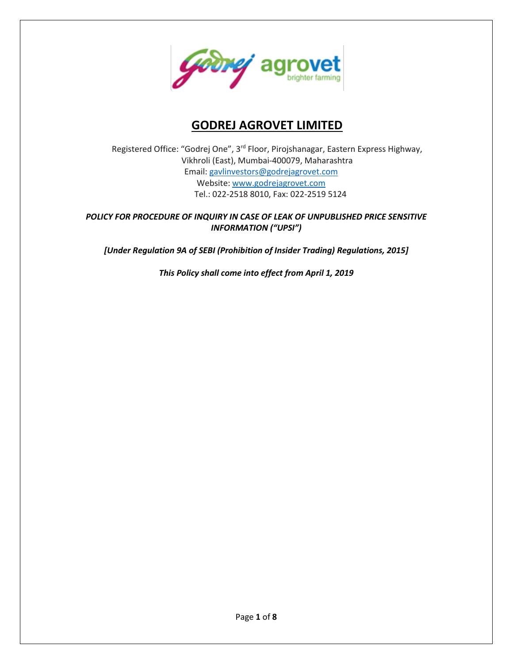

# **GODREJ AGROVET LIMITED**

Registered Office: "Godrej One", 3rd Floor, Pirojshanagar, Eastern Express Highway, Vikhroli (East), Mumbai-400079, Maharashtra Email: gavlinvestors@godrejagrovet.com Website: www.godrejagrovet.com Tel.: 022-2518 8010, Fax: 022-2519 5124

## *POLICY FOR PROCEDURE OF INQUIRY IN CASE OF LEAK OF UNPUBLISHED PRICE SENSITIVE INFORMATION ("UPSI")*

*[Under Regulation 9A of SEBI (Prohibition of Insider Trading) Regulations, 2015]*

*This Policy shall come into effect from April 1, 2019*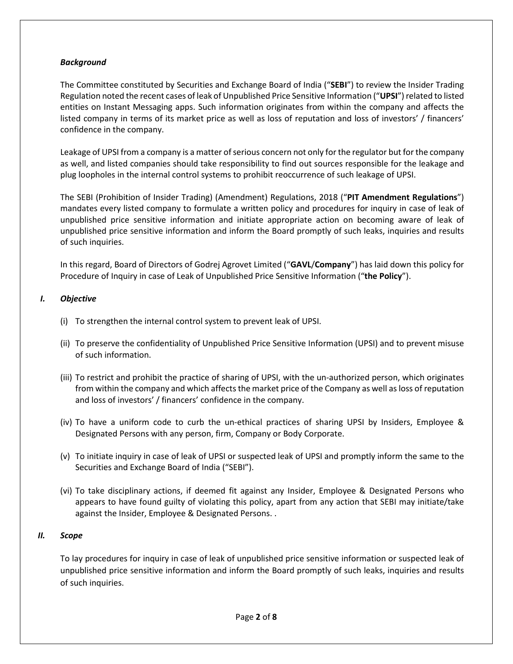## *Background*

The Committee constituted by Securities and Exchange Board of India ("**SEBI**") to review the Insider Trading Regulation noted the recent cases of leak of Unpublished Price Sensitive Information ("**UPSI**") related to listed entities on Instant Messaging apps. Such information originates from within the company and affects the listed company in terms of its market price as well as loss of reputation and loss of investors' / financers' confidence in the company.

Leakage of UPSI from a company is a matter of serious concern not only for the regulator but for the company as well, and listed companies should take responsibility to find out sources responsible for the leakage and plug loopholes in the internal control systems to prohibit reoccurrence of such leakage of UPSI.

The SEBI (Prohibition of Insider Trading) (Amendment) Regulations, 2018 ("**PIT Amendment Regulations**") mandates every listed company to formulate a written policy and procedures for inquiry in case of leak of unpublished price sensitive information and initiate appropriate action on becoming aware of leak of unpublished price sensitive information and inform the Board promptly of such leaks, inquiries and results of such inquiries.

In this regard, Board of Directors of Godrej Agrovet Limited ("**GAVL**/**Company**") has laid down this policy for Procedure of Inquiry in case of Leak of Unpublished Price Sensitive Information ("**the Policy**").

#### *I. Objective*

- (i) To strengthen the internal control system to prevent leak of UPSI.
- (ii) To preserve the confidentiality of Unpublished Price Sensitive Information (UPSI) and to prevent misuse of such information.
- (iii) To restrict and prohibit the practice of sharing of UPSI, with the un-authorized person, which originates from within the company and which affects the market price of the Company as well as loss of reputation and loss of investors' / financers' confidence in the company.
- (iv) To have a uniform code to curb the un-ethical practices of sharing UPSI by Insiders, Employee & Designated Persons with any person, firm, Company or Body Corporate.
- (v) To initiate inquiry in case of leak of UPSI or suspected leak of UPSI and promptly inform the same to the Securities and Exchange Board of India ("SEBI").
- (vi) To take disciplinary actions, if deemed fit against any Insider, Employee & Designated Persons who appears to have found guilty of violating this policy, apart from any action that SEBI may initiate/take against the Insider, Employee & Designated Persons. .

#### *II. Scope*

To lay procedures for inquiry in case of leak of unpublished price sensitive information or suspected leak of unpublished price sensitive information and inform the Board promptly of such leaks, inquiries and results of such inquiries.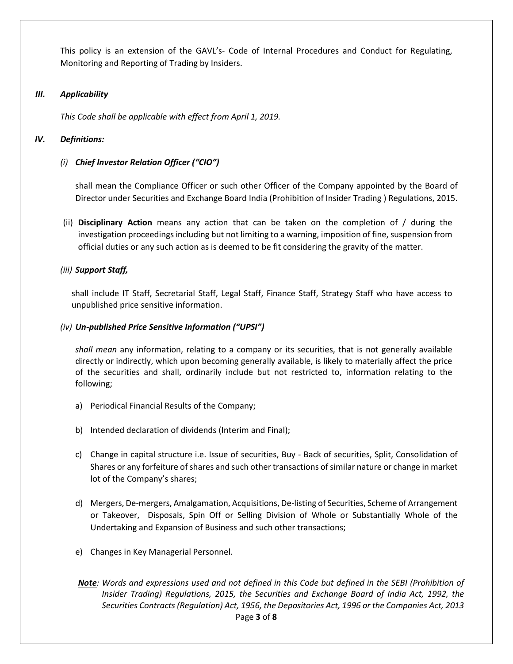This policy is an extension of the GAVL's- Code of Internal Procedures and Conduct for Regulating, Monitoring and Reporting of Trading by Insiders.

#### *III. Applicability*

*This Code shall be applicable with effect from April 1, 2019.*

#### *IV. Definitions:*

#### *(i) Chief Investor Relation Officer ("CIO")*

shall mean the Compliance Officer or such other Officer of the Company appointed by the Board of Director under Securities and Exchange Board India (Prohibition of Insider Trading ) Regulations, 2015.

(ii) **Disciplinary Action** means any action that can be taken on the completion of / during the investigation proceedings including but not limiting to a warning, imposition of fine, suspension from official duties or any such action as is deemed to be fit considering the gravity of the matter.

#### *(iii) Support Staff,*

shall include IT Staff, Secretarial Staff, Legal Staff, Finance Staff, Strategy Staff who have access to unpublished price sensitive information.

#### *(iv) Un-published Price Sensitive Information ("UPSI")*

*shall mean* any information, relating to a company or its securities, that is not generally available directly or indirectly, which upon becoming generally available, is likely to materially affect the price of the securities and shall, ordinarily include but not restricted to, information relating to the following;

- a) Periodical Financial Results of the Company;
- b) Intended declaration of dividends (Interim and Final);
- c) Change in capital structure i.e. Issue of securities, Buy Back of securities, Split, Consolidation of Shares or any forfeiture of shares and such other transactions of similar nature or change in market lot of the Company's shares;
- d) Mergers, De-mergers, Amalgamation, Acquisitions, De-listing of Securities, Scheme of Arrangement or Takeover, Disposals, Spin Off or Selling Division of Whole or Substantially Whole of the Undertaking and Expansion of Business and such other transactions;
- e) Changes in Key Managerial Personnel.
- Page **3** of **8** *Note: Words and expressions used and not defined in this Code but defined in the SEBI (Prohibition of Insider Trading) Regulations, 2015, the Securities and Exchange Board of India Act, 1992, the Securities Contracts (Regulation) Act, 1956, the Depositories Act, 1996 or the Companies Act, 2013*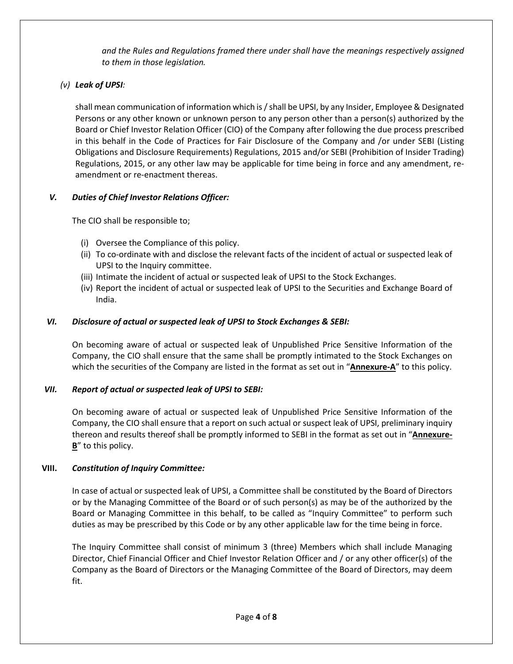*and the Rules and Regulations framed there under shall have the meanings respectively assigned to them in those legislation.*

# *(v) Leak of UPSI:*

shall mean communication of information which is / shall be UPSI, by any Insider, Employee & Designated Persons or any other known or unknown person to any person other than a person(s) authorized by the Board or Chief Investor Relation Officer (CIO) of the Company after following the due process prescribed in this behalf in the Code of Practices for Fair Disclosure of the Company and /or under SEBI (Listing Obligations and Disclosure Requirements) Regulations, 2015 and/or SEBI (Prohibition of Insider Trading) Regulations, 2015, or any other law may be applicable for time being in force and any amendment, reamendment or re-enactment thereas.

# *V. Duties of Chief Investor Relations Officer:*

The CIO shall be responsible to;

- (i) Oversee the Compliance of this policy.
- (ii) To co-ordinate with and disclose the relevant facts of the incident of actual or suspected leak of UPSI to the Inquiry committee.
- (iii) Intimate the incident of actual or suspected leak of UPSI to the Stock Exchanges.
- (iv) Report the incident of actual or suspected leak of UPSI to the Securities and Exchange Board of India.

# *VI. Disclosure of actual or suspected leak of UPSI to Stock Exchanges & SEBI:*

On becoming aware of actual or suspected leak of Unpublished Price Sensitive Information of the Company, the CIO shall ensure that the same shall be promptly intimated to the Stock Exchanges on which the securities of the Company are listed in the format as set out in "**Annexure-A**" to this policy.

## *VII. Report of actual or suspected leak of UPSI to SEBI:*

On becoming aware of actual or suspected leak of Unpublished Price Sensitive Information of the Company, the CIO shall ensure that a report on such actual or suspect leak of UPSI, preliminary inquiry thereon and results thereof shall be promptly informed to SEBI in the format as set out in "**Annexure-B**" to this policy.

## **VIII.** *Constitution of Inquiry Committee:*

In case of actual or suspected leak of UPSI, a Committee shall be constituted by the Board of Directors or by the Managing Committee of the Board or of such person(s) as may be of the authorized by the Board or Managing Committee in this behalf, to be called as "Inquiry Committee" to perform such duties as may be prescribed by this Code or by any other applicable law for the time being in force.

The Inquiry Committee shall consist of minimum 3 (three) Members which shall include Managing Director, Chief Financial Officer and Chief Investor Relation Officer and / or any other officer(s) of the Company as the Board of Directors or the Managing Committee of the Board of Directors, may deem fit.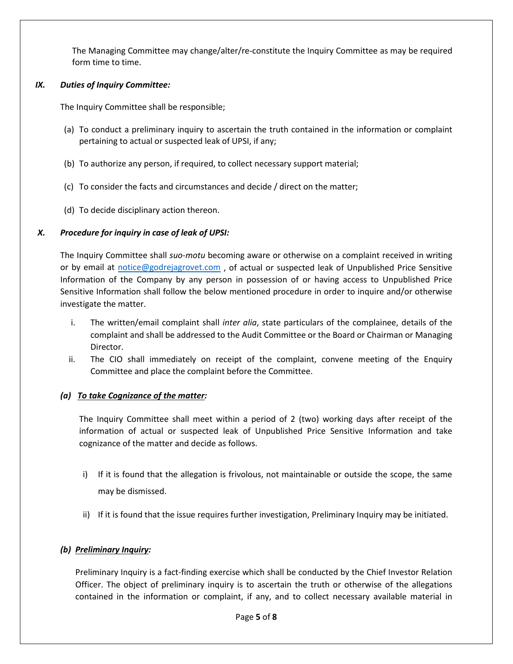The Managing Committee may change/alter/re-constitute the Inquiry Committee as may be required form time to time.

#### *IX. Duties of Inquiry Committee:*

The Inquiry Committee shall be responsible;

- (a) To conduct a preliminary inquiry to ascertain the truth contained in the information or complaint pertaining to actual or suspected leak of UPSI, if any;
- (b) To authorize any person, if required, to collect necessary support material;
- (c) To consider the facts and circumstances and decide / direct on the matter;
- (d) To decide disciplinary action thereon.

## *X. Procedure for inquiry in case of leak of UPSI:*

The Inquiry Committee shall *suo-motu* becoming aware or otherwise on a complaint received in writing or by email at [notice@godrejagrovet.com](mailto:notice@godrejagrovet.com) , of actual or suspected leak of Unpublished Price Sensitive Information of the Company by any person in possession of or having access to Unpublished Price Sensitive Information shall follow the below mentioned procedure in order to inquire and/or otherwise investigate the matter.

- i. The written/email complaint shall *inter alia*, state particulars of the complainee, details of the complaint and shall be addressed to the Audit Committee or the Board or Chairman or Managing Director.
- ii. The CIO shall immediately on receipt of the complaint, convene meeting of the Enquiry Committee and place the complaint before the Committee.

## *(a) To take Cognizance of the matter:*

The Inquiry Committee shall meet within a period of 2 (two) working days after receipt of the information of actual or suspected leak of Unpublished Price Sensitive Information and take cognizance of the matter and decide as follows.

- i) If it is found that the allegation is frivolous, not maintainable or outside the scope, the same may be dismissed.
- ii) If it is found that the issue requires further investigation, Preliminary Inquiry may be initiated.

## *(b) Preliminary Inquiry:*

Preliminary Inquiry is a fact-finding exercise which shall be conducted by the Chief Investor Relation Officer. The object of preliminary inquiry is to ascertain the truth or otherwise of the allegations contained in the information or complaint, if any, and to collect necessary available material in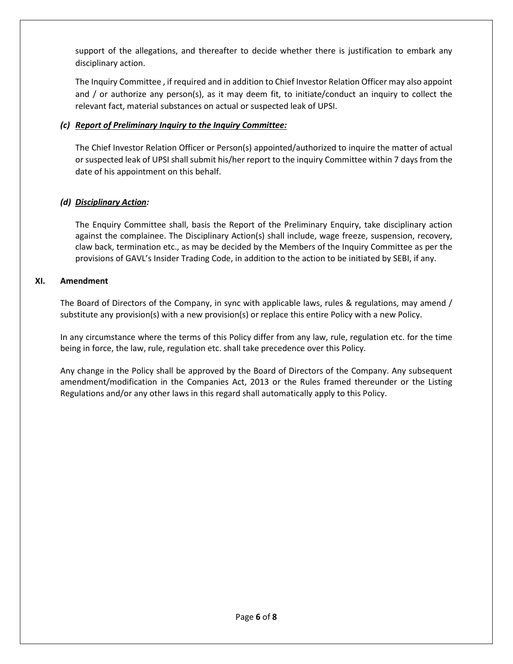support of the allegations, and thereafter to decide whether there is justification to embark any disciplinary action.

The Inquiry Committee , if required and in addition to Chief Investor Relation Officer may also appoint and / or authorize any person(s), as it may deem fit, to initiate/conduct an inquiry to collect the relevant fact, material substances on actual or suspected leak of UPSI.

## *(c) Report of Preliminary Inquiry to the Inquiry Committee:*

The Chief Investor Relation Officer or Person(s) appointed/authorized to inquire the matter of actual or suspected leak of UPSI shall submit his/her report to the inquiry Committee within 7 days from the date of his appointment on this behalf.

# *(d) Disciplinary Action:*

The Enquiry Committee shall, basis the Report of the Preliminary Enquiry, take disciplinary action against the complainee. The Disciplinary Action(s) shall include, wage freeze, suspension, recovery, claw back, termination etc., as may be decided by the Members of the Inquiry Committee as per the provisions of GAVL's Insider Trading Code, in addition to the action to be initiated by SEBI, if any.

## **XI. Amendment**

The Board of Directors of the Company, in sync with applicable laws, rules & regulations, may amend / substitute any provision(s) with a new provision(s) or replace this entire Policy with a new Policy.

In any circumstance where the terms of this Policy differ from any law, rule, regulation etc. for the time being in force, the law, rule, regulation etc. shall take precedence over this Policy.

Any change in the Policy shall be approved by the Board of Directors of the Company. Any subsequent amendment/modification in the Companies Act, 2013 or the Rules framed thereunder or the Listing Regulations and/or any other laws in this regard shall automatically apply to this Policy.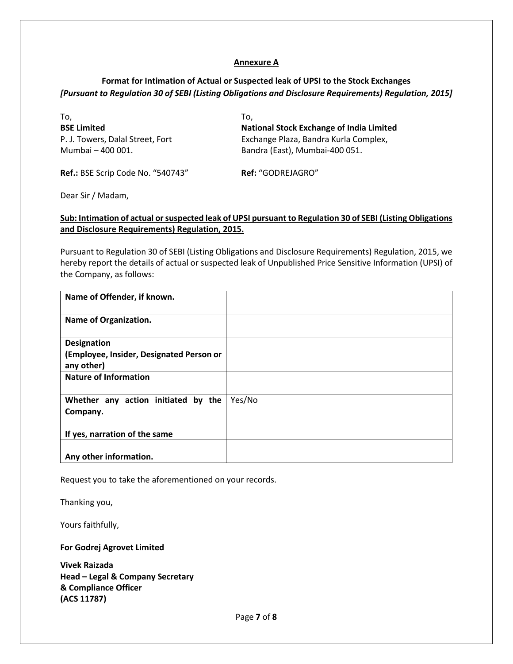#### **Annexure A**

## **Format for Intimation of Actual or Suspected leak of UPSI to the Stock Exchanges**  *[Pursuant to Regulation 30 of SEBI (Listing Obligations and Disclosure Requirements) Regulation, 2015]*

| To.                                                   | To.                                                                     |
|-------------------------------------------------------|-------------------------------------------------------------------------|
| <b>BSE Limited</b>                                    | <b>National Stock Exchange of India Limited</b>                         |
| P. J. Towers, Dalal Street, Fort<br>Mumbai - 400 001. | Exchange Plaza, Bandra Kurla Complex,<br>Bandra (East), Mumbai-400 051. |
| Ref.: BSE Scrip Code No. "540743"                     | Ref: "GODREJAGRO"                                                       |

Dear Sir / Madam,

#### **Sub: Intimation of actual or suspected leak of UPSI pursuant to Regulation 30 of SEBI (Listing Obligations and Disclosure Requirements) Regulation, 2015.**

Pursuant to Regulation 30 of SEBI (Listing Obligations and Disclosure Requirements) Regulation, 2015, we hereby report the details of actual or suspected leak of Unpublished Price Sensitive Information (UPSI) of the Company, as follows:

| Name of Offender, if known.              |        |
|------------------------------------------|--------|
| <b>Name of Organization.</b>             |        |
| <b>Designation</b>                       |        |
| (Employee, Insider, Designated Person or |        |
| any other)                               |        |
| <b>Nature of Information</b>             |        |
|                                          |        |
| Whether any action initiated by the      | Yes/No |
| Company.                                 |        |
|                                          |        |
| If yes, narration of the same            |        |
|                                          |        |
| Any other information.                   |        |

Request you to take the aforementioned on your records.

Thanking you,

Yours faithfully,

**For Godrej Agrovet Limited**

**Vivek Raizada Head – Legal & Company Secretary & Compliance Officer (ACS 11787)**